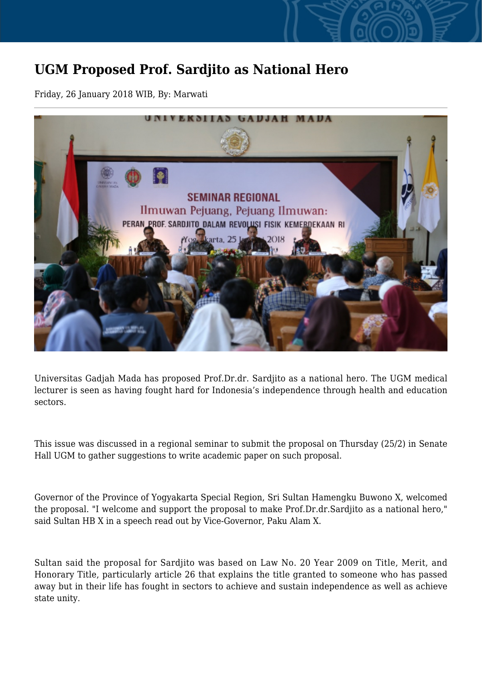## **UGM Proposed Prof. Sardjito as National Hero**

Friday, 26 January 2018 WIB, By: Marwati



Universitas Gadjah Mada has proposed Prof.Dr.dr. Sardjito as a national hero. The UGM medical lecturer is seen as having fought hard for Indonesia's independence through health and education sectors.

This issue was discussed in a regional seminar to submit the proposal on Thursday (25/2) in Senate Hall UGM to gather suggestions to write academic paper on such proposal.

Governor of the Province of Yogyakarta Special Region, Sri Sultan Hamengku Buwono X, welcomed the proposal. "I welcome and support the proposal to make Prof.Dr.dr.Sardjito as a national hero," said Sultan HB X in a speech read out by Vice-Governor, Paku Alam X.

Sultan said the proposal for Sardjito was based on Law No. 20 Year 2009 on Title, Merit, and Honorary Title, particularly article 26 that explains the title granted to someone who has passed away but in their life has fought in sectors to achieve and sustain independence as well as achieve state unity.